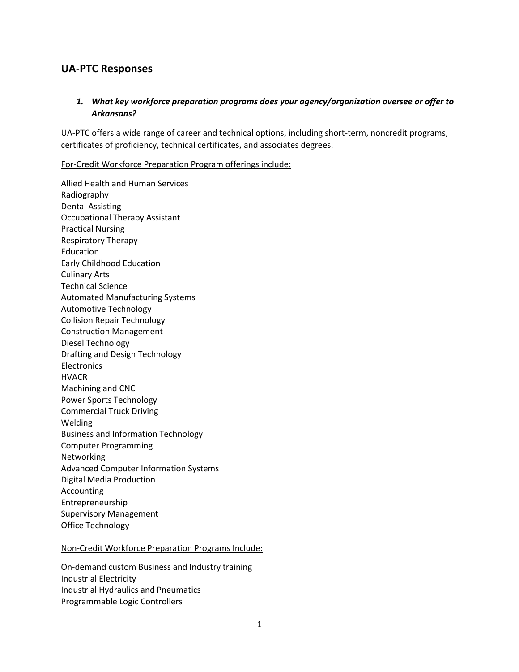## **UA-PTC Responses**

#### *1. What key workforce preparation programs does your agency/organization oversee or offer to Arkansans?*

UA-PTC offers a wide range of career and technical options, including short-term, noncredit programs, certificates of proficiency, technical certificates, and associates degrees.

#### For-Credit Workforce Preparation Program offerings include:

Allied Health and Human Services Radiography Dental Assisting Occupational Therapy Assistant Practical Nursing Respiratory Therapy Education Early Childhood Education Culinary Arts Technical Science Automated Manufacturing Systems Automotive Technology Collision Repair Technology Construction Management Diesel Technology Drafting and Design Technology **Electronics** HVACR Machining and CNC Power Sports Technology Commercial Truck Driving Welding Business and Information Technology Computer Programming Networking Advanced Computer Information Systems Digital Media Production Accounting Entrepreneurship Supervisory Management Office Technology

#### Non-Credit Workforce Preparation Programs Include:

On-demand custom Business and Industry training Industrial Electricity Industrial Hydraulics and Pneumatics Programmable Logic Controllers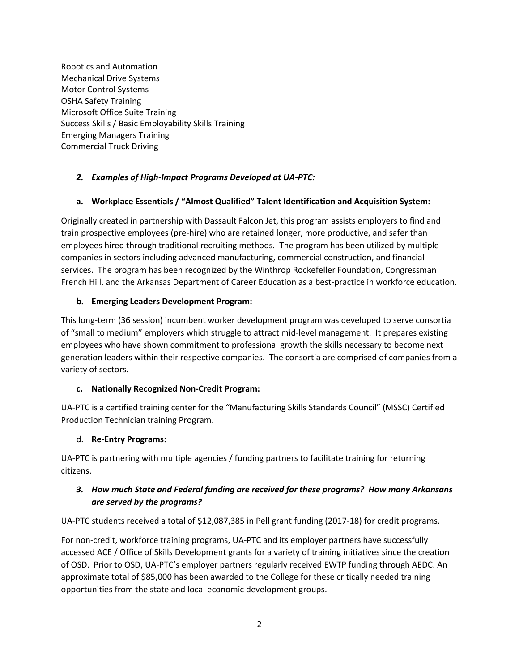Robotics and Automation Mechanical Drive Systems Motor Control Systems OSHA Safety Training Microsoft Office Suite Training Success Skills / Basic Employability Skills Training Emerging Managers Training Commercial Truck Driving

## *2. Examples of High-Impact Programs Developed at UA-PTC:*

#### **a. Workplace Essentials / "Almost Qualified" Talent Identification and Acquisition System:**

Originally created in partnership with Dassault Falcon Jet, this program assists employers to find and train prospective employees (pre-hire) who are retained longer, more productive, and safer than employees hired through traditional recruiting methods. The program has been utilized by multiple companies in sectors including advanced manufacturing, commercial construction, and financial services. The program has been recognized by the Winthrop Rockefeller Foundation, Congressman French Hill, and the Arkansas Department of Career Education as a best-practice in workforce education.

#### **b. Emerging Leaders Development Program:**

This long-term (36 session) incumbent worker development program was developed to serve consortia of "small to medium" employers which struggle to attract mid-level management. It prepares existing employees who have shown commitment to professional growth the skills necessary to become next generation leaders within their respective companies. The consortia are comprised of companies from a variety of sectors.

#### **c. Nationally Recognized Non-Credit Program:**

UA-PTC is a certified training center for the "Manufacturing Skills Standards Council" (MSSC) Certified Production Technician training Program.

#### d. **Re-Entry Programs:**

UA-PTC is partnering with multiple agencies / funding partners to facilitate training for returning citizens.

#### *3. How much State and Federal funding are received for these programs? How many Arkansans are served by the programs?*

UA-PTC students received a total of \$12,087,385 in Pell grant funding (2017-18) for credit programs.

For non-credit, workforce training programs, UA-PTC and its employer partners have successfully accessed ACE / Office of Skills Development grants for a variety of training initiatives since the creation of OSD. Prior to OSD, UA-PTC's employer partners regularly received EWTP funding through AEDC. An approximate total of \$85,000 has been awarded to the College for these critically needed training opportunities from the state and local economic development groups.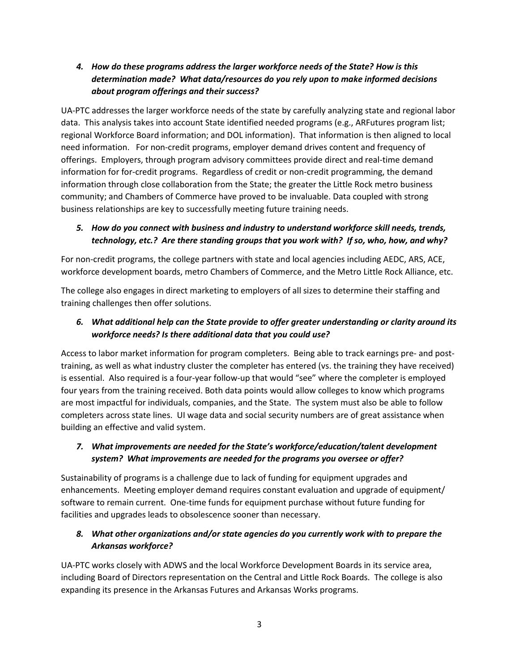## *4. How do these programs address the larger workforce needs of the State? How is this determination made? What data/resources do you rely upon to make informed decisions about program offerings and their success?*

UA-PTC addresses the larger workforce needs of the state by carefully analyzing state and regional labor data. This analysis takes into account State identified needed programs (e.g., ARFutures program list; regional Workforce Board information; and DOL information). That information is then aligned to local need information. For non-credit programs, employer demand drives content and frequency of offerings. Employers, through program advisory committees provide direct and real-time demand information for for-credit programs. Regardless of credit or non-credit programming, the demand information through close collaboration from the State; the greater the Little Rock metro business community; and Chambers of Commerce have proved to be invaluable. Data coupled with strong business relationships are key to successfully meeting future training needs.

## *5. How do you connect with business and industry to understand workforce skill needs, trends, technology, etc.? Are there standing groups that you work with? If so, who, how, and why?*

For non-credit programs, the college partners with state and local agencies including AEDC, ARS, ACE, workforce development boards, metro Chambers of Commerce, and the Metro Little Rock Alliance, etc.

The college also engages in direct marketing to employers of all sizes to determine their staffing and training challenges then offer solutions.

## *6. What additional help can the State provide to offer greater understanding or clarity around its workforce needs? Is there additional data that you could use?*

Access to labor market information for program completers. Being able to track earnings pre- and posttraining, as well as what industry cluster the completer has entered (vs. the training they have received) is essential. Also required is a four-year follow-up that would "see" where the completer is employed four years from the training received. Both data points would allow colleges to know which programs are most impactful for individuals, companies, and the State. The system must also be able to follow completers across state lines. UI wage data and social security numbers are of great assistance when building an effective and valid system.

## *7. What improvements are needed for the State's workforce/education/talent development system? What improvements are needed for the programs you oversee or offer?*

Sustainability of programs is a challenge due to lack of funding for equipment upgrades and enhancements. Meeting employer demand requires constant evaluation and upgrade of equipment/ software to remain current. One-time funds for equipment purchase without future funding for facilities and upgrades leads to obsolescence sooner than necessary.

# *8. What other organizations and/or state agencies do you currently work with to prepare the Arkansas workforce?*

UA-PTC works closely with ADWS and the local Workforce Development Boards in its service area, including Board of Directors representation on the Central and Little Rock Boards. The college is also expanding its presence in the Arkansas Futures and Arkansas Works programs.